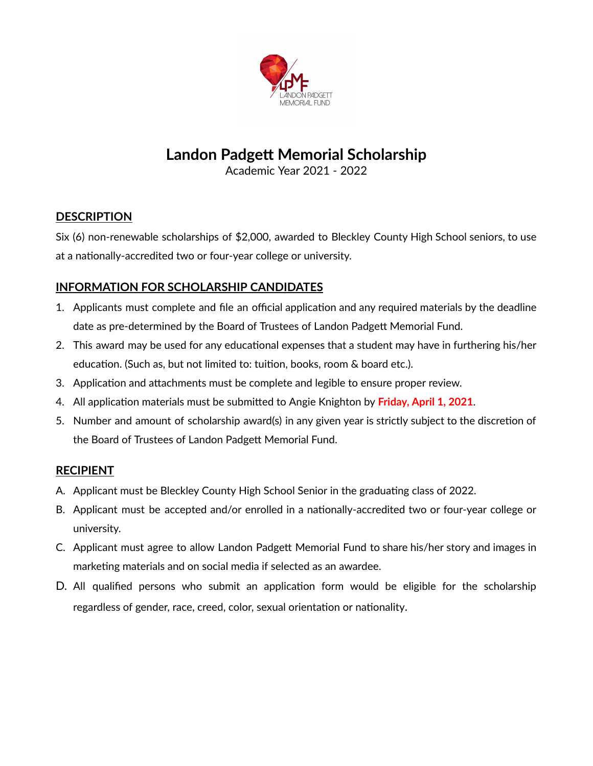

## **Landon Padgett Memorial Scholarship**

Academic Year 2021 - 2022

#### **DESCRIPTION**

Six (6) non-renewable scholarships of \$2,000, awarded to Bleckley County High School seniors, to use at a nationally-accredited two or four-year college or university.

#### **INFORMATION FOR SCHOLARSHIP CANDIDATES**

- 1. Applicants must complete and file an official application and any required materials by the deadline date as pre-determined by the Board of Trustees of Landon Padgett Memorial Fund.
- 2. This award may be used for any educational expenses that a student may have in furthering his/her education. (Such as, but not limited to: tuition, books, room & board etc.).
- 3. Application and attachments must be complete and legible to ensure proper review.
- 4. All application materials must be submitted to Angie Knighton by Friday, April 1, 2021.
- 5. Number and amount of scholarship award(s) in any given year is strictly subject to the discretion of the Board of Trustees of Landon Padgett Memorial Fund.

#### **RECIPIENT**

- A. Applicant must be Bleckley County High School Senior in the graduating class of 2022.
- B. Applicant must be accepted and/or enrolled in a nationally-accredited two or four-year college or university.
- C. Applicant must agree to allow Landon Padgett Memorial Fund to share his/her story and images in marketing materials and on social media if selected as an awardee.
- D. All qualified persons who submit an application form would be eligible for the scholarship regardless of gender, race, creed, color, sexual orientation or nationality.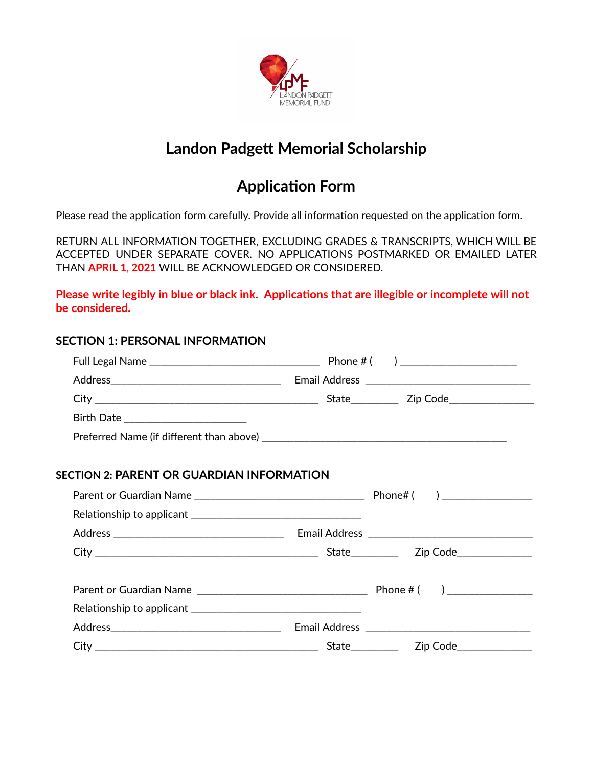

## **Landon Padgett Memorial Scholarship**

## **Application Form**

Please read the application form carefully. Provide all information requested on the application form.

RETURN ALL INFORMATION TOGETHER, EXCLUDING GRADES & TRANSCRIPTS, WHICH WILL BE ACCEPTED UNDER SEPARATE COVER. NO APPLICATIONS POSTMARKED OR EMAILED LATER THAN **APRIL 1, 2021** WILL BE ACKNOWLEDGED OR CONSIDERED.

**Please write legibly in blue or black ink. Applicaons that are illegible or incomplete will not be considered.**

# **SECTION 1: PERSONAL INFORMATION** Full Legal Name \_\_\_\_\_\_\_\_\_\_\_\_\_\_\_\_\_\_\_\_\_\_\_\_\_\_\_\_\_\_\_\_ Phone # ( ) \_\_\_\_\_\_\_\_\_\_\_\_\_\_\_\_\_\_\_\_\_\_ Address\_\_\_\_\_\_\_\_\_\_\_\_\_\_\_\_\_\_\_\_\_\_\_\_\_\_\_\_\_\_\_\_ Email Address \_\_\_\_\_\_\_\_\_\_\_\_\_\_\_\_\_\_\_\_\_\_\_\_\_\_\_\_\_\_\_ City \_\_\_\_\_\_\_\_\_\_\_\_\_\_\_\_\_\_\_\_\_\_\_\_\_\_\_\_\_\_\_\_\_\_\_\_\_\_\_\_\_\_ State\_\_\_\_\_\_\_\_\_ Zip Code\_\_\_\_\_\_\_\_\_\_\_\_\_\_\_\_ Birth Date \_\_\_\_\_\_\_\_\_\_\_\_\_\_\_\_\_\_\_\_\_\_\_ Preferred Name (if different than above)  $\blacksquare$ **SECTION 2: PARENT OR GUARDIAN INFORMATION** Parent or Guardian Name  $\Box$  Phone  $\Box$  Phone  $\Box$  ( )  $\Box$ Relaonship to applicant \_\_\_\_\_\_\_\_\_\_\_\_\_\_\_\_\_\_\_\_\_\_\_\_\_\_\_\_\_\_\_\_ Address \_\_\_\_\_\_\_\_\_\_\_\_\_\_\_\_\_\_\_\_\_\_\_\_\_\_\_\_\_\_\_\_ Email Address \_\_\_\_\_\_\_\_\_\_\_\_\_\_\_\_\_\_\_\_\_\_\_\_\_\_\_\_\_\_\_ City \_\_\_\_\_\_\_\_\_\_\_\_\_\_\_\_\_\_\_\_\_\_\_\_\_\_\_\_\_\_\_\_\_\_\_\_\_\_\_\_\_\_ State\_\_\_\_\_\_\_\_\_ Zip Code\_\_\_\_\_\_\_\_\_\_\_\_\_\_ Parent or Guardian Name \_\_\_\_\_\_\_\_\_\_\_\_\_\_\_\_\_\_\_\_\_\_\_\_\_\_\_\_\_\_\_\_ Phone # ( ) \_\_\_\_\_\_\_\_\_\_\_\_\_\_\_\_  $\sf Relationship$  to applicant  $\sf$ Address\_\_\_\_\_\_\_\_\_\_\_\_\_\_\_\_\_\_\_\_\_\_\_\_\_\_\_\_\_\_\_\_ Email Address \_\_\_\_\_\_\_\_\_\_\_\_\_\_\_\_\_\_\_\_\_\_\_\_\_\_\_\_\_\_\_ City \_\_\_\_\_\_\_\_\_\_\_\_\_\_\_\_\_\_\_\_\_\_\_\_\_\_\_\_\_\_\_\_\_\_\_\_\_\_\_\_\_\_ State\_\_\_\_\_\_\_\_\_ Zip Code\_\_\_\_\_\_\_\_\_\_\_\_\_\_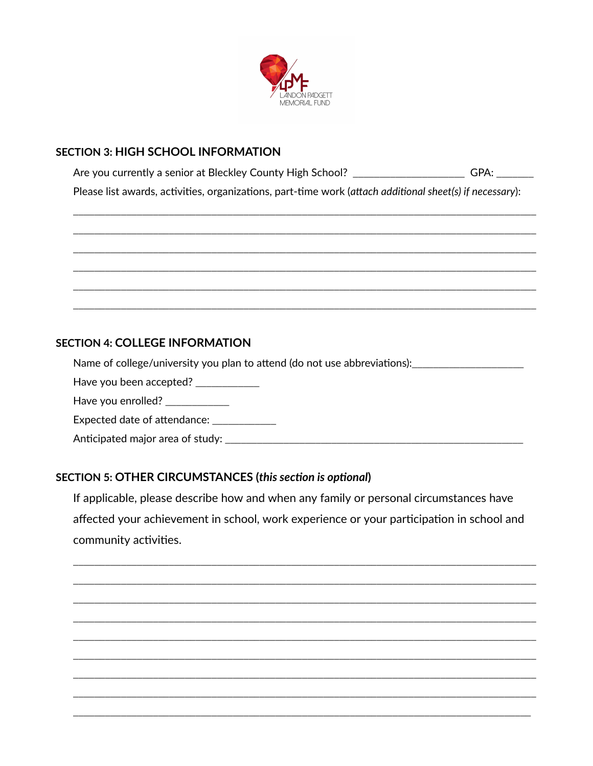

#### **SECTION 3: HIGH SCHOOL INFORMATION**

Are you currently a senior at Bleckley County High School? \_\_\_\_\_\_\_\_\_\_\_\_\_\_\_\_\_\_\_\_\_\_\_\_GPA: \_\_\_\_\_\_\_\_\_\_ Please list awards, activities, organizations, part-time work (attach additional sheet(s) if necessary):

#### **SECTION 4: COLLEGE INFORMATION**

Name of college/university you plan to attend (do not use abbreviations): \_\_\_\_\_\_\_\_\_\_\_\_\_\_\_\_\_\_\_\_\_\_\_\_\_

Have you been accepted? \_\_\_\_\_\_\_\_\_\_\_

Have you enrolled? \_\_\_\_\_\_\_\_\_\_\_\_

Expected date of attendance: \_\_\_\_\_\_\_\_\_\_\_\_

Anticipated major area of study: \_\_\_\_\_\_\_\_\_\_\_\_

#### **SECTION 5: OTHER CIRCUMSTANCES (this section is optional)**

If applicable, please describe how and when any family or personal circumstances have affected your achievement in school, work experience or your participation in school and community activities.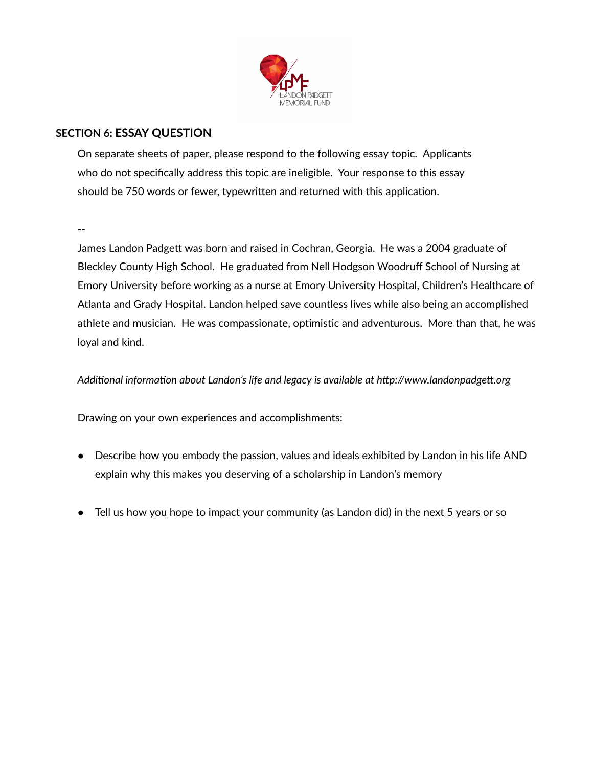

#### **SECTION 6: ESSAY QUESTION**

On separate sheets of paper, please respond to the following essay topic. Applicants who do not specifically address this topic are ineligible. Your response to this essay should be 750 words or fewer, typewritten and returned with this application.

**--**

James Landon Padgett was born and raised in Cochran, Georgia. He was a 2004 graduate of Bleckley County High School. He graduated from Nell Hodgson Woodruff School of Nursing at Emory University before working as a nurse at Emory University Hospital, Children's Healthcare of Atlanta and Grady Hospital. Landon helped save countless lives while also being an accomplished athlete and musician. He was compassionate, optimistic and adventurous. More than that, he was loyal and kind.

#### *Additional information about Landon's life and legacy is available at http://www.landonpadgett.org*

Drawing on your own experiences and accomplishments:

- Describe how you embody the passion, values and ideals exhibited by Landon in his life AND explain why this makes you deserving of a scholarship in Landon's memory
- Tell us how you hope to impact your community (as Landon did) in the next 5 years or so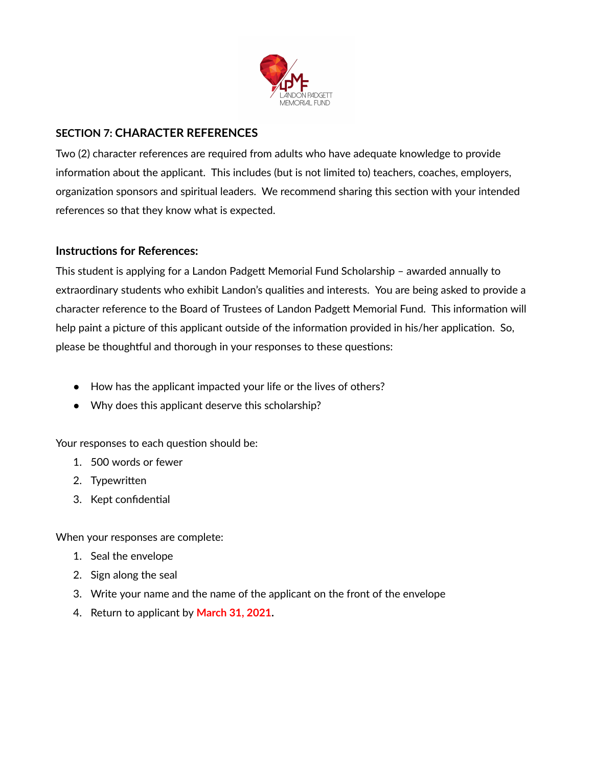

#### **SECTION 7: CHARACTER REFERENCES**

Two (2) character references are required from adults who have adequate knowledge to provide information about the applicant. This includes (but is not limited to) teachers, coaches, employers, organization sponsors and spiritual leaders. We recommend sharing this section with your intended references so that they know what is expected.

#### **Instructions for References:**

This student is applying for a Landon Padgett Memorial Fund Scholarship - awarded annually to extraordinary students who exhibit Landon's qualities and interests. You are being asked to provide a character reference to the Board of Trustees of Landon Padgett Memorial Fund. This information will help paint a picture of this applicant outside of the information provided in his/her application. So, please be thoughtful and thorough in your responses to these questions:

- How has the applicant impacted your life or the lives of others?
- Why does this applicant deserve this scholarship?

Your responses to each question should be:

- 1. 500 words or fewer
- 2. Typewritten
- 3. Kept confidential

When your responses are complete:

- 1. Seal the envelope
- 2. Sign along the seal
- 3. Write your name and the name of the applicant on the front of the envelope
- 4. Return to applicant by **March 31, 2021.**